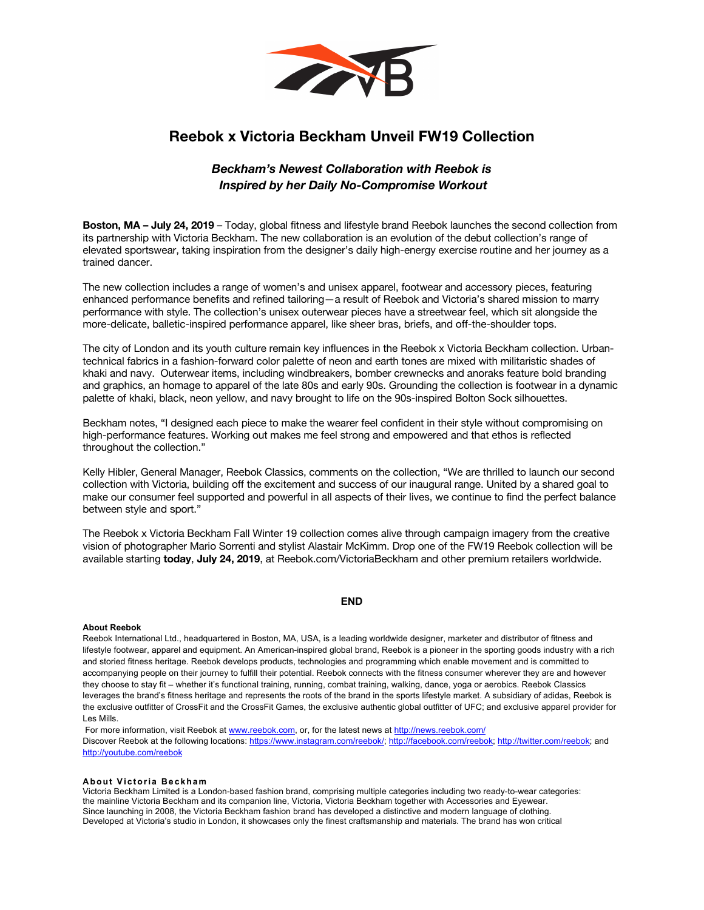

# **Reebok x Victoria Beckham Unveil FW19 Collection**

## *Beckham's Newest Collaboration with Reebok is Inspired by her Daily No-Compromise Workout*

**Boston, MA – July 24, 2019** – Today, global fitness and lifestyle brand Reebok launches the second collection from its partnership with Victoria Beckham. The new collaboration is an evolution of the debut collection's range of elevated sportswear, taking inspiration from the designer's daily high-energy exercise routine and her journey as a trained dancer.

The new collection includes a range of women's and unisex apparel, footwear and accessory pieces, featuring enhanced performance benefits and refined tailoring—a result of Reebok and Victoria's shared mission to marry performance with style. The collection's unisex outerwear pieces have a streetwear feel, which sit alongside the more-delicate, balletic-inspired performance apparel, like sheer bras, briefs, and off-the-shoulder tops.

The city of London and its youth culture remain key influences in the Reebok x Victoria Beckham collection. Urbantechnical fabrics in a fashion-forward color palette of neon and earth tones are mixed with militaristic shades of khaki and navy. Outerwear items, including windbreakers, bomber crewnecks and anoraks feature bold branding and graphics, an homage to apparel of the late 80s and early 90s. Grounding the collection is footwear in a dynamic palette of khaki, black, neon yellow, and navy brought to life on the 90s-inspired Bolton Sock silhouettes.

Beckham notes, "I designed each piece to make the wearer feel confident in their style without compromising on high-performance features. Working out makes me feel strong and empowered and that ethos is reflected throughout the collection."

Kelly Hibler, General Manager, Reebok Classics, comments on the collection, "We are thrilled to launch our second collection with Victoria, building off the excitement and success of our inaugural range. United by a shared goal to make our consumer feel supported and powerful in all aspects of their lives, we continue to find the perfect balance between style and sport."

The Reebok x Victoria Beckham Fall Winter 19 collection comes alive through campaign imagery from the creative vision of photographer Mario Sorrenti and stylist Alastair McKimm. Drop one of the FW19 Reebok collection will be available starting **today**, **July 24, 2019**, at Reebok.com/VictoriaBeckham and other premium retailers worldwide.

## **END**

### **About Reebok**

Reebok International Ltd., headquartered in Boston, MA, USA, is a leading worldwide designer, marketer and distributor of fitness and lifestyle footwear, apparel and equipment. An American-inspired global brand, Reebok is a pioneer in the sporting goods industry with a rich and storied fitness heritage. Reebok develops products, technologies and programming which enable movement and is committed to accompanying people on their journey to fulfill their potential. Reebok connects with the fitness consumer wherever they are and however they choose to stay fit – whether it's functional training, running, combat training, walking, dance, yoga or aerobics. Reebok Classics leverages the brand's fitness heritage and represents the roots of the brand in the sports lifestyle market. A subsidiary of adidas, Reebok is the exclusive outfitter of CrossFit and the CrossFit Games, the exclusive authentic global outfitter of UFC; and exclusive apparel provider for Les Mills.

For more information, visit Reebok at www.reebok.com, or, for the latest news at http://news.reebok.com/ Discover Reebok at the following locations: https://www.instagram.com/reebok/; http://facebook.com/reebok; http://twitter.com/reebok; and http://youtube.com/reebok

### **About Victoria Beckham**

Victoria Beckham Limited is a London-based fashion brand, comprising multiple categories including two ready-to-wear categories: the mainline Victoria Beckham and its companion line, Victoria, Victoria Beckham together with Accessories and Eyewear. Since launching in 2008, the Victoria Beckham fashion brand has developed a distinctive and modern language of clothing. Developed at Victoria's studio in London, it showcases only the finest craftsmanship and materials. The brand has won critical